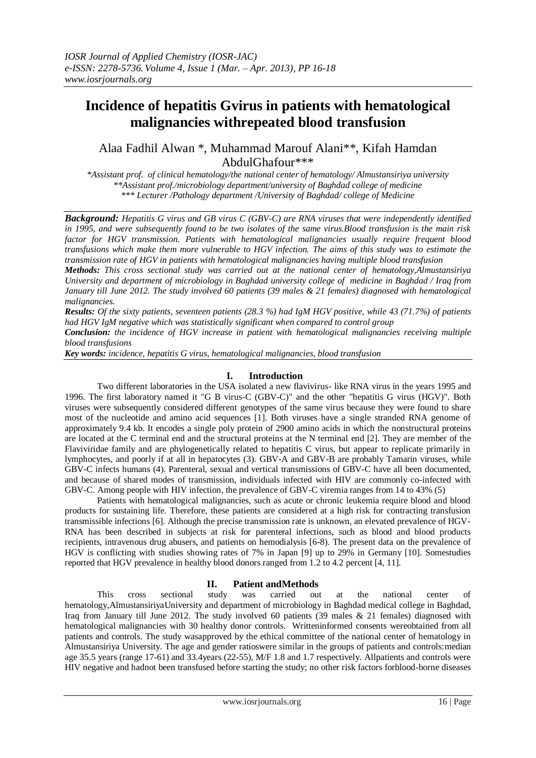# **Incidence of hepatitis Gvirus in patients with hematological malignancies withrepeated blood transfusion**

Alaa Fadhil Alwan \*, Muhammad Marouf Alani\*\*, Kifah Hamdan AbdulGhafour\*\*\*

*\*Assistant prof. of clinical hematology/the national center of hematology/ Almustansiriya university \*\*Assistant prof./microbiology department/university of Baghdad college of medicine \*\*\* Lecturer /Pathology department /University of Baghdad/ college of Medicine*

*Background: Hepatitis G virus and GB virus C (GBV-C) are RNA viruses that were independently identified in 1995, and were subsequently found to be two isolates of the same virus.Blood transfusion is the main risk factor for HGV transmission. Patients with hematological malignancies usually require frequent blood transfusions which make them more vulnerable to HGV infection. The aims of this study was to estimate the transmission rate of HGV in patients with hematological malignancies having multiple blood transfusion* 

*Methods: This cross sectional study was carried out at the national center of hematology,Almustansiriya University and department of microbiology in Baghdad university college of medicine in Baghdad / Iraq from January till June 2012. The study involved 60 patients (39 males & 21 females) diagnosed with hematological malignancies.*

*Results: Of the sixty patients, seventeen patients (28.3 %) had IgM HGV positive, while 43 (71.7%) of patients had HGV IgM negative which was statistically significant when compared to control group*

*Conclusion: the incidence of HGV increase in patient with hematological malignancies receiving multiple blood transfusions* 

*Key words: incidence, hepatitis G virus, hematological malignancies, blood transfusion*

## **I. Introduction**

Two different laboratories in the USA isolated a new flavivirus- like RNA virus in the years 1995 and 1996. The first laboratory named it "G B virus-C (GBV-C)" and the other "hepatitis G virus (HGV)". Both viruses were subsequently considered different genotypes of the same virus because they were found to share most of the nucleotide and amino acid sequences [1]. Both viruses have a single stranded RNA genome of approximately 9.4 kb. It encodes a single poly protein of 2900 amino acids in which the nonstructural proteins are located at the C terminal end and the structural proteins at the N terminal end [2]. They are member of the Flaviviridae family and are phylogenetically related to hepatitis C virus, but appear to replicate primarily in lymphocytes, and poorly if at all in hepatocytes (3). GBV-A and GBV-B are probably Tamarin viruses, while GBV-C infects humans (4). Parenteral, sexual and vertical transmissions of GBV-C have all been documented, and because of shared modes of transmission, individuals infected with HIV are commonly co-infected with GBV-C. Among people with HIV infection, the prevalence of GBV-C viremia ranges from 14 to 43% (5)

Patients with hematological malignancies, such as acute or chronic leukemia require blood and blood products for sustaining life. Therefore, these patients are considered at a high risk for contracting transfusion transmissible infections [6]. Although the precise transmission rate is unknown, an elevated prevalence of HGV-RNA has been described in subjects at risk for parenteral infections, such as blood and blood products recipients, intravenous drug abusers, and patients on hemodialysis [6-8). The present data on the prevalence of HGV is conflicting with studies showing rates of 7% in Japan [9] up to 29% in Germany [10]. Somestudies reported that HGV prevalence in healthy blood donors ranged from 1.2 to 4.2 percent [4, 11].

# **II. Patient andMethods**

This cross sectional study was carried out at the national center of hematology,AlmustansiriyaUniversity and department of microbiology in Baghdad medical college in Baghdad, Iraq from January till June 2012. The study involved 60 patients (39 males & 21 females) diagnosed with hematological malignancies with 30 healthy donor controls. Writteninformed consents wereobtained from all patients and controls. The study wasapproved by the ethical committee of the national center of hematology in Almustansiriya University. The age and gender ratioswere similar in the groups of patients and controls:median age 35.5 years (range 17-61) and 33.4years (22-55), M/F 1.8 and 1.7 respectively. Allpatients and controls were HIV negative and hadnot been transfused before starting the study; no other risk factors forblood-borne diseases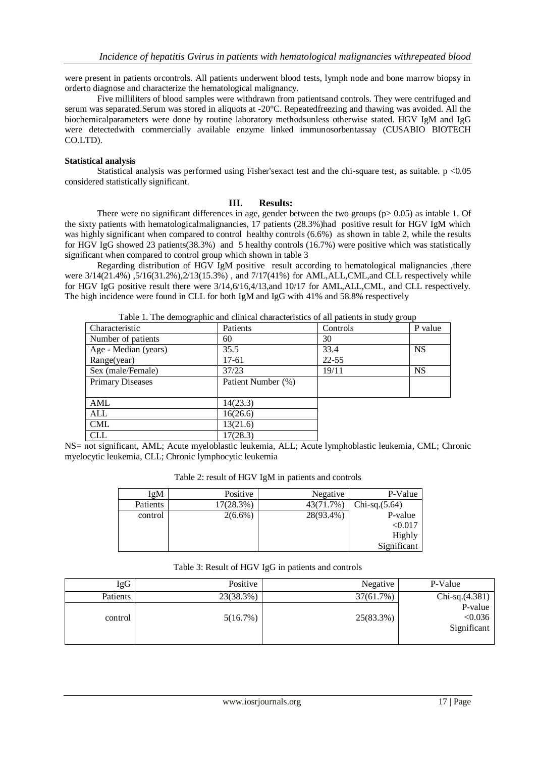were present in patients orcontrols. All patients underwent blood tests, lymph node and bone marrow biopsy in orderto diagnose and characterize the hematological malignancy.

Five milliliters of blood samples were withdrawn from patientsand controls. They were centrifuged and serum was separated.Serum was stored in aliquots at -20°C. Repeatedfreezing and thawing was avoided. All the biochemicalparameters were done by routine laboratory methodsunless otherwise stated. HGV IgM and IgG were detectedwith commercially available enzyme linked immunosorbentassay (CUSABIO BIOTECH CO.LTD).

## **Statistical analysis**

Statistical analysis was performed using Fisher'sexact test and the chi-square test, as suitable. p <0.05 considered statistically significant.

#### **III. Results:**

There were no significant differences in age, gender between the two groups ( $p > 0.05$ ) as intable 1. Of the sixty patients with hematologicalmalignancies, 17 patients (28.3%)had positive result for HGV IgM which was highly significant when compared to control healthy controls (6.6%) as shown in table 2, while the results for HGV IgG showed 23 patients(38.3%) and 5 healthy controls (16.7%) were positive which was statistically significant when compared to control group which shown in table 3

Regarding distribution of HGV IgM positive result according to hematological malignancies ,there were  $3/14(21.4\%)$ ,  $5/16(31.2\%)$ ,  $2/13(15.3\%)$ , and  $7/17(41\%)$  for AML, ALL, CML, and CLL respectively while for HGV IgG positive result there were 3/14,6/16,4/13,and 10/17 for AML,ALL,CML, and CLL respectively. The high incidence were found in CLL for both IgM and IgG with 41% and 58.8% respectively

| raone r. The demographic and emilical enaracteristics of an patients in study group |                    |           |           |  |  |
|-------------------------------------------------------------------------------------|--------------------|-----------|-----------|--|--|
| Characteristic                                                                      | Patients           | Controls  | P value   |  |  |
| Number of patients                                                                  | 60                 | 30        |           |  |  |
| Age - Median (years)                                                                | 35.5               | 33.4      | <b>NS</b> |  |  |
| Range(year)                                                                         | 17-61              | $22 - 55$ |           |  |  |
| Sex (male/Female)                                                                   | 37/23              | 19/11     | <b>NS</b> |  |  |
| <b>Primary Diseases</b>                                                             | Patient Number (%) |           |           |  |  |
|                                                                                     |                    |           |           |  |  |
| AML                                                                                 | 14(23.3)           |           |           |  |  |
| ALL                                                                                 | 16(26.6)           |           |           |  |  |
| <b>CML</b>                                                                          | 13(21.6)           |           |           |  |  |
| <b>CLL</b>                                                                          | 17(28.3)           |           |           |  |  |

Table 1. The demographic and clinical characteristics of all patients in study group

NS= not significant, AML; Acute myeloblastic leukemia, ALL; Acute lymphoblastic leukemia, CML; Chronic myelocytic leukemia, CLL; Chronic lymphocytic leukemia

| IgM      | Positive   | Negative  | P-Value         |
|----------|------------|-----------|-----------------|
| Patients | 17(28.3%)  | 43(71.7%) | $Chi-sq.(5.64)$ |
| control  | $2(6.6\%)$ | 28(93.4%) | P-value         |
|          |            |           | < 0.017         |
|          |            |           | Highly          |
|          |            |           | Significant     |

## Table 2: result of HGV IgM in patients and controls

## Table 3: Result of HGV IgG in patients and controls

| IgG      | Positive  | Negative  | P-Value                           |
|----------|-----------|-----------|-----------------------------------|
| Patients | 23(38.3%) | 37(61.7%) | $Chi-sq.(4.381)$                  |
| control  | 5(16.7%)  | 25(83.3%) | P-value<br>< 0.036<br>Significant |